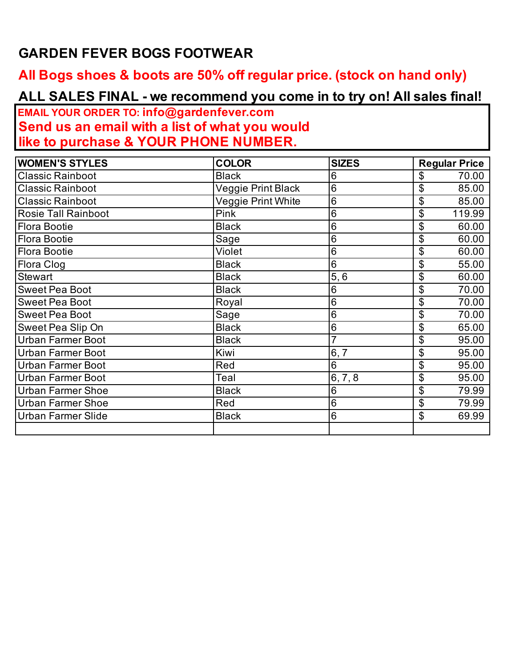## **GARDEN FEVER BOGS FOOTWEAR**

## **All Bogs shoes & boots are 50% off regular price. (stock on hand only)**

## **ALL SALES FINAL - we recommend you come in to try on! All sales final!**

**EMAIL YOUR ORDER TO: info@gardenfever.com Send us an email with a list of what you would like to purchase & YOUR PHONE NUMBER.**

| <b>WOMEN'S STYLES</b>      | <b>COLOR</b>       | <b>SIZES</b>    | <b>Regular Price</b>     |
|----------------------------|--------------------|-----------------|--------------------------|
| <b>Classic Rainboot</b>    | <b>Black</b>       | 6               | 70.00<br>\$              |
| <b>Classic Rainboot</b>    | Veggie Print Black | 6               | \$<br>85.00              |
| <b>Classic Rainboot</b>    | Veggie Print White | 6               | \$<br>85.00              |
| <b>Rosie Tall Rainboot</b> | Pink               | 6               | $\mathfrak{S}$<br>119.99 |
| <b>Flora Bootie</b>        | <b>Black</b>       | 6               | \$<br>60.00              |
| Flora Bootie               | Sage               | 6               | \$<br>60.00              |
| Flora Bootie               | Violet             | 6               | \$<br>60.00              |
| Flora Clog                 | <b>Black</b>       | 6               | \$<br>55.00              |
| <b>Stewart</b>             | <b>Black</b>       | 5,6             | \$<br>60.00              |
| <b>Sweet Pea Boot</b>      | <b>Black</b>       | 6               | \$<br>70.00              |
| <b>Sweet Pea Boot</b>      | Royal              | 6               | \$<br>70.00              |
| <b>Sweet Pea Boot</b>      | Sage               | 6               | \$<br>70.00              |
| Sweet Pea Slip On          | <b>Black</b>       | 6               | \$<br>65.00              |
| <b>Urban Farmer Boot</b>   | <b>Black</b>       | $\overline{7}$  | \$<br>95.00              |
| <b>Urban Farmer Boot</b>   | Kiwi               | 6, 7            | \$<br>95.00              |
| <b>Urban Farmer Boot</b>   | Red                | 6               | \$<br>95.00              |
| <b>Urban Farmer Boot</b>   | Teal               | 6, 7, 8         | \$<br>95.00              |
| <b>Urban Farmer Shoe</b>   | <b>Black</b>       | 6               | \$<br>79.99              |
| <b>Urban Farmer Shoe</b>   | Red                | $6\phantom{1}6$ | \$<br>79.99              |
| <b>Urban Farmer Slide</b>  | <b>Black</b>       | 6               | \$<br>69.99              |
|                            |                    |                 |                          |